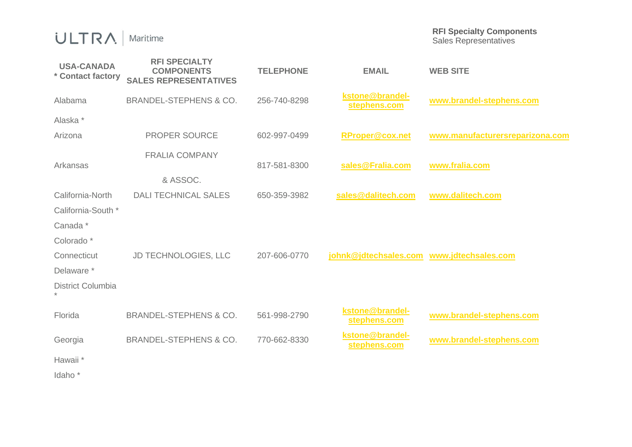## $ULTRA$  | Maritime

**RFI Specialty Components**  Sales Representatives

| <b>USA-CANADA</b><br>* Contact factory | <b>RFI SPECIALTY</b><br><b>COMPONENTS</b><br><b>SALES REPRESENTATIVES</b> | <b>TELEPHONE</b> | <b>EMAIL</b>                              | <b>WEB SITE</b>                 |
|----------------------------------------|---------------------------------------------------------------------------|------------------|-------------------------------------------|---------------------------------|
| Alabama                                | <b>BRANDEL-STEPHENS &amp; CO.</b>                                         | 256-740-8298     | kstone@brandel-<br>stephens.com           | www.brandel-stephens.com        |
| Alaska *                               |                                                                           |                  |                                           |                                 |
| Arizona                                | <b>PROPER SOURCE</b>                                                      | 602-997-0499     | <b>RProper@cox.net</b>                    | www.manufacturersreparizona.com |
| Arkansas                               | <b>FRALIA COMPANY</b>                                                     | 817-581-8300     | sales@Fralia.com                          | www.fralia.com                  |
|                                        | & ASSOC.                                                                  |                  |                                           |                                 |
| California-North                       | <b>DALI TECHNICAL SALES</b>                                               | 650-359-3982     | sales@dalitech.com                        | www.dalitech.com                |
| California-South *                     |                                                                           |                  |                                           |                                 |
| Canada*                                |                                                                           |                  |                                           |                                 |
| Colorado <sup>*</sup>                  |                                                                           |                  |                                           |                                 |
| Connecticut                            | JD TECHNOLOGIES, LLC                                                      | 207-606-0770     | johnk@jdtechsales.com www.jdtechsales.com |                                 |
| Delaware *                             |                                                                           |                  |                                           |                                 |
| District Columbia                      |                                                                           |                  |                                           |                                 |
| Florida                                | <b>BRANDEL-STEPHENS &amp; CO.</b>                                         | 561-998-2790     | kstone@brandel-<br>stephens.com           | www.brandel-stephens.com        |
| Georgia                                | <b>BRANDEL-STEPHENS &amp; CO.</b>                                         | 770-662-8330     | kstone@brandel-<br>stephens.com           | www.brandel-stephens.com        |
| Hawaii <sup>*</sup>                    |                                                                           |                  |                                           |                                 |
| Idaho <sup>*</sup>                     |                                                                           |                  |                                           |                                 |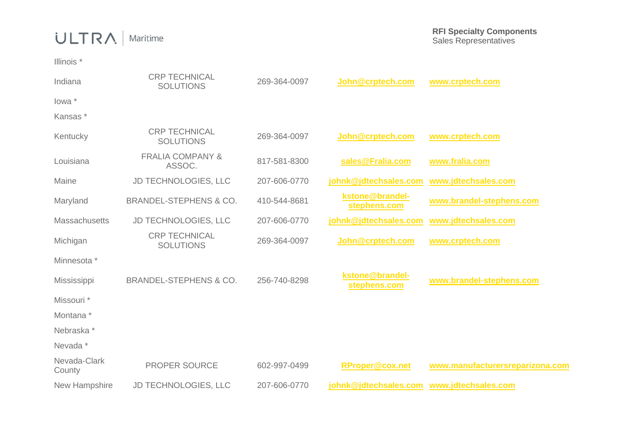## $ULTRA$  | Maritime

Illinois \*

| Indiana                | <b>CRP TECHNICAL</b><br><b>SOLUTIONS</b> | 269-364-0097 | John@crptech.com                          | www.crptech.com                 |
|------------------------|------------------------------------------|--------------|-------------------------------------------|---------------------------------|
| lowa *                 |                                          |              |                                           |                                 |
| Kansas*                |                                          |              |                                           |                                 |
| Kentucky               | <b>CRP TECHNICAL</b><br><b>SOLUTIONS</b> | 269-364-0097 | John@crptech.com                          | www.crptech.com                 |
| Louisiana              | <b>FRALIA COMPANY &amp;</b><br>ASSOC.    | 817-581-8300 | sales@Fralia.com                          | www.fralia.com                  |
| Maine                  | <b>JD TECHNOLOGIES, LLC</b>              | 207-606-0770 | johnk@jdtechsales.com                     | www.jdtechsales.com             |
| Maryland               | <b>BRANDEL-STEPHENS &amp; CO.</b>        | 410-544-8681 | kstone@brandel-<br>stephens.com           | www.brandel-stephens.com        |
| <b>Massachusetts</b>   | JD TECHNOLOGIES, LLC                     | 207-606-0770 | johnk@jdtechsales.com                     | www.jdtechsales.com             |
| Michigan               | <b>CRP TECHNICAL</b><br><b>SOLUTIONS</b> | 269-364-0097 | John@crptech.com                          | www.crptech.com                 |
| Minnesota *            |                                          |              |                                           |                                 |
| Mississippi            | <b>BRANDEL-STEPHENS &amp; CO.</b>        | 256-740-8298 | kstone@brandel-<br>stephens.com           | www.brandel-stephens.com        |
| Missouri <sup>*</sup>  |                                          |              |                                           |                                 |
| Montana <sup>*</sup>   |                                          |              |                                           |                                 |
| Nebraska*              |                                          |              |                                           |                                 |
| Nevada *               |                                          |              |                                           |                                 |
| Nevada-Clark<br>County | <b>PROPER SOURCE</b>                     | 602-997-0499 | <b>RProper@cox.net</b>                    | www.manufacturersreparizona.com |
| New Hampshire          | JD TECHNOLOGIES, LLC                     | 207-606-0770 | johnk@jdtechsales.com www.jdtechsales.com |                                 |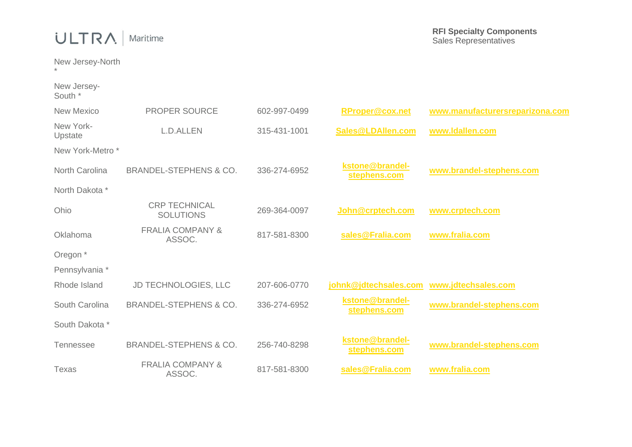## ULTRA | Maritime

New Jersey-North

New Jersey-South \*

\*

| <b>New Mexico</b>           | <b>PROPER SOURCE</b>                     | 602-997-0499 | <b>RProper@cox.net</b>          | www.manufacturersreparizona.com |
|-----------------------------|------------------------------------------|--------------|---------------------------------|---------------------------------|
| New York-<br>Upstate        | L.D.ALLEN                                | 315-431-1001 | Sales@LDAllen.com               | www.ldallen.com                 |
| New York-Metro <sup>*</sup> |                                          |              |                                 |                                 |
| North Carolina              | <b>BRANDEL-STEPHENS &amp; CO.</b>        | 336-274-6952 | kstone@brandel-<br>stephens.com | www.brandel-stephens.com        |
| North Dakota *              |                                          |              |                                 |                                 |
| Ohio                        | <b>CRP TECHNICAL</b><br><b>SOLUTIONS</b> | 269-364-0097 | John @crptech.com               | www.crptech.com                 |
| Oklahoma                    | <b>FRALIA COMPANY &amp;</b><br>ASSOC.    | 817-581-8300 | sales@Fralia.com                | www.fralia.com                  |
| Oregon <sup>*</sup>         |                                          |              |                                 |                                 |
| Pennsylvania *              |                                          |              |                                 |                                 |
| Rhode Island                | <b>JD TECHNOLOGIES, LLC</b>              | 207-606-0770 | johnk@jdtechsales.com           | www.jdtechsales.com             |
| South Carolina              | <b>BRANDEL-STEPHENS &amp; CO.</b>        | 336-274-6952 | kstone@brandel-<br>stephens.com | www.brandel-stephens.com        |
| South Dakota *              |                                          |              |                                 |                                 |
| <b>Tennessee</b>            | <b>BRANDEL-STEPHENS &amp; CO.</b>        | 256-740-8298 | kstone@brandel-<br>stephens.com | www.brandel-stephens.com        |
| Texas                       | <b>FRALIA COMPANY &amp;</b><br>ASSOC.    | 817-581-8300 | sales@Fralia.com                | www.fralia.com                  |